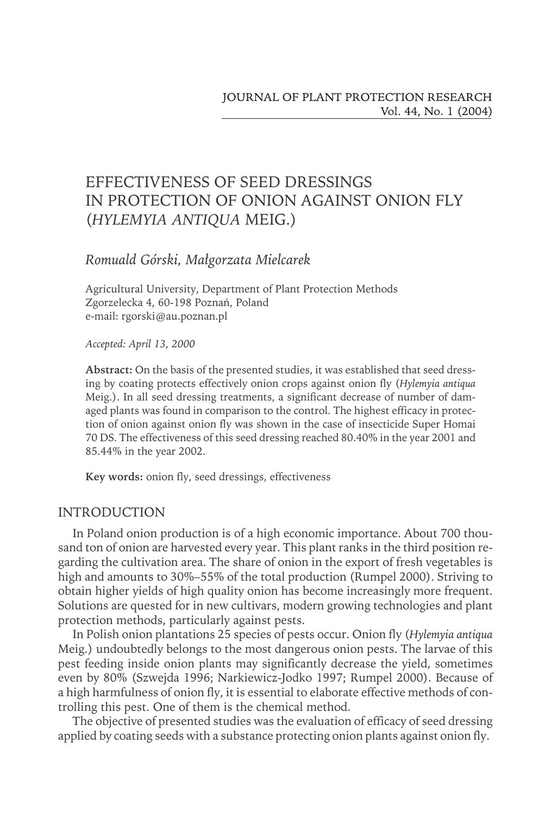# EFFECTIVENESS OF SEED DRESSINGS IN PROTECTION OF ONION AGAINST ONION FLY (*HYLEMYIA ANTIQUA* MEIG.)

# *Romuald Górski, Małgorzata Mielcarek*

Agricultural University, Department of Plant Protection Methods Zgorzelecka 4, 60-198 Poznań, Poland e-mail: rgorski@au.poznan.pl

*Accepted: April 13, 2000*

**Abstract:** On the basis of the presented studies, it was established that seed dressing by coating protects effectively onion crops against onion fly (*Hylemyia antiqua* Meig.). In all seed dressing treatments, a significant decrease of number of damaged plants was found in comparison to the control. The highest efficacy in protection of onion against onion fly was shown in the case of insecticide Super Homai 70 DS. The effectiveness of this seed dressing reached 80.40% in the year 2001 and 85.44% in the year 2002.

**Key words:** onion fly, seed dressings, effectiveness

## INTRODUCTION

In Poland onion production is of a high economic importance. About 700 thousand ton of onion are harvested every year. This plant ranks in the third position regarding the cultivation area. The share of onion in the export of fresh vegetables is high and amounts to 30%–55% of the total production (Rumpel 2000). Striving to obtain higher yields of high quality onion has become increasingly more frequent. Solutions are quested for in new cultivars, modern growing technologies and plant protection methods, particularly against pests.

In Polish onion plantations 25 species of pests occur. Onion fly (*Hylemyia antiqua* Meig.) undoubtedly belongs to the most dangerous onion pests. The larvae of this pest feeding inside onion plants may significantly decrease the yield, sometimes even by 80% (Szwejda 1996; Narkiewicz-Jodko 1997; Rumpel 2000). Because of a high harmfulness of onion fly, it is essential to elaborate effective methods of controlling this pest. One of them is the chemical method.

The objective of presented studies was the evaluation of efficacy of seed dressing applied by coating seeds with a substance protecting onion plants against onion fly.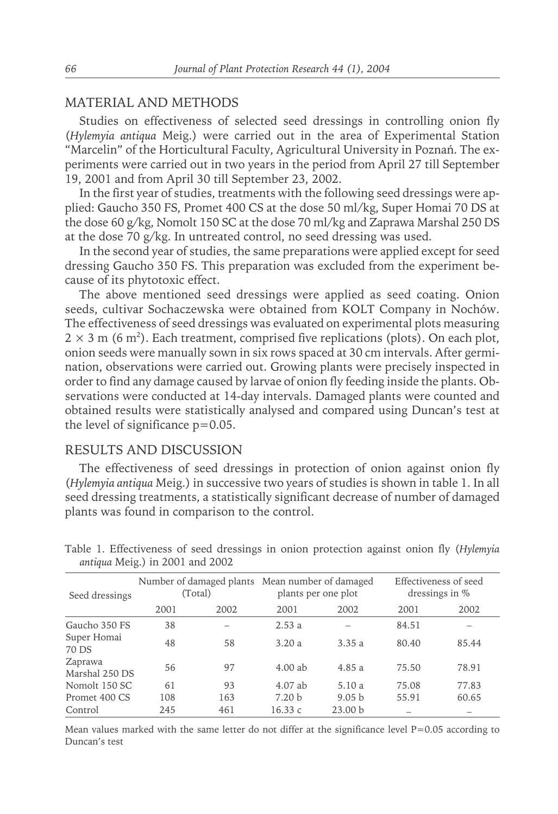## MATERIAL AND METHODS

Studies on effectiveness of selected seed dressings in controlling onion fly (*Hylemyia antiqua* Meig.) were carried out in the area of Experimental Station "Marcelin" of the Horticultural Faculty, Agricultural University in Poznań. The experiments were carried out in two years in the period from April 27 till September 19, 2001 and from April 30 till September 23, 2002.

In the first year of studies, treatments with the following seed dressings were applied: Gaucho 350 FS, Promet 400 CS at the dose 50 ml/kg, Super Homai 70 DS at the dose 60 g/kg, Nomolt 150 SC at the dose 70 ml/kg and Zaprawa Marshal 250 DS at the dose 70 g/kg. In untreated control, no seed dressing was used.

In the second year of studies, the same preparations were applied except for seed dressing Gaucho 350 FS. This preparation was excluded from the experiment because of its phytotoxic effect.

The above mentioned seed dressings were applied as seed coating. Onion seeds, cultivar Sochaczewska were obtained from KOLT Company in Nochów. The effectiveness of seed dressings was evaluated on experimental plots measuring  $2 \times 3$  m (6 m<sup>2</sup>). Each treatment, comprised five replications (plots). On each plot, onion seeds were manually sown in six rows spaced at 30 cm intervals. After germination, observations were carried out. Growing plants were precisely inspected in order to find any damage caused by larvae of onion fly feeding inside the plants. Observations were conducted at 14-day intervals. Damaged plants were counted and obtained results were statistically analysed and compared using Duncan's test at the level of significance  $p=0.05$ .

## RESULTS AND DISCUSSION

The effectiveness of seed dressings in protection of onion against onion fly (*Hylemyia antiqua* Meig.) in successive two years of studies is shown in table 1. In all seed dressing treatments, a statistically significant decrease of number of damaged plants was found in comparison to the control.

| Seed dressings            | Number of damaged plants Mean number of damaged<br>(Total) |      | plants per one plot |                    | Effectiveness of seed<br>dressings in % |       |
|---------------------------|------------------------------------------------------------|------|---------------------|--------------------|-----------------------------------------|-------|
|                           | 2001                                                       | 2002 | 2001                | 2002               | 2001                                    | 2002  |
| Gaucho 350 FS             | 38                                                         |      | 2.53a               |                    | 84.51                                   |       |
| Super Homai<br>70 DS      | 48                                                         | 58   | 3.20a               | 3.35a              | 80.40                                   | 85.44 |
| Zaprawa<br>Marshal 250 DS | 56                                                         | 97   | $4.00$ ab           | 4.85a              | 75.50                                   | 78.91 |
| Nomolt 150 SC             | 61                                                         | 93   | 4.07 ab             | 5.10a              | 75.08                                   | 77.83 |
| Promet 400 CS             | 108                                                        | 163  | 7.20 <sub>b</sub>   | 9.05 <sub>b</sub>  | 55.91                                   | 60.65 |
| Control                   | 245                                                        | 461  | 16.33c              | 23.00 <sub>b</sub> |                                         |       |

Table 1. Effectiveness of seed dressings in onion protection against onion fly (*Hylemyia antiqua* Meig.) in 2001 and 2002

Mean values marked with the same letter do not differ at the significance level  $P=0.05$  according to Duncan's test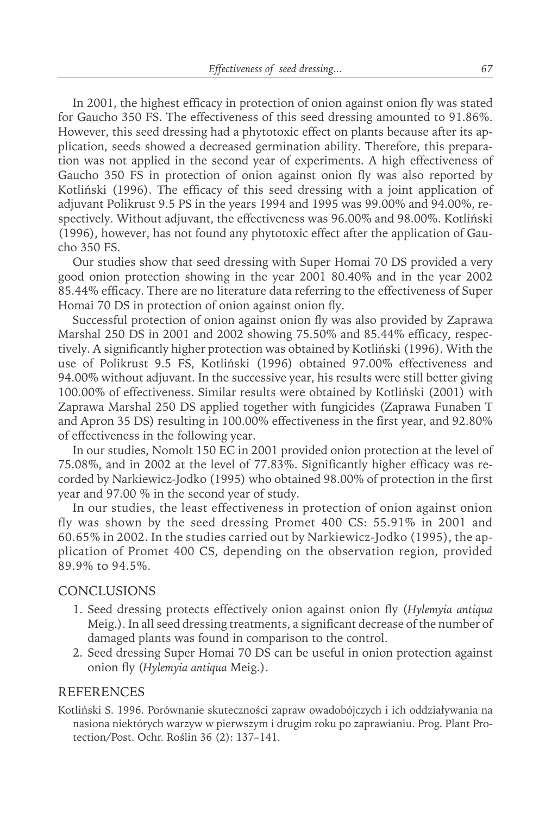In 2001, the highest efficacy in protection of onion against onion fly was stated for Gaucho 350 FS. The effectiveness of this seed dressing amounted to 91.86%. However, this seed dressing had a phytotoxic effect on plants because after its application, seeds showed a decreased germination ability. Therefore, this preparation was not applied in the second year of experiments. A high effectiveness of Gaucho 350 FS in protection of onion against onion fly was also reported by Kotliński (1996). The efficacy of this seed dressing with a joint application of adjuvant Polikrust 9.5 PS in the years 1994 and 1995 was 99.00% and 94.00%, respectively. Without adjuvant, the effectiveness was 96.00% and 98.00%. Kotliński (1996), however, has not found any phytotoxic effect after the application of Gaucho 350 FS.

Our studies show that seed dressing with Super Homai 70 DS provided a very good onion protection showing in the year 2001 80.40% and in the year 2002 85.44% efficacy. There are no literature data referring to the effectiveness of Super Homai 70 DS in protection of onion against onion fly.

Successful protection of onion against onion fly was also provided by Zaprawa Marshal 250 DS in 2001 and 2002 showing 75.50% and 85.44% efficacy, respectively. A significantly higher protection was obtained by Kotliński (1996). With the use of Polikrust 9.5 FS, Kotliński (1996) obtained 97.00% effectiveness and 94.00% without adjuvant. In the successive year, his results were still better giving 100.00% of effectiveness. Similar results were obtained by Kotliński (2001) with Zaprawa Marshal 250 DS applied together with fungicides (Zaprawa Funaben T and Apron 35 DS) resulting in 100.00% effectiveness in the first year, and 92.80% of effectiveness in the following year.

In our studies, Nomolt 150 EC in 2001 provided onion protection at the level of 75.08%, and in 2002 at the level of 77.83%. Significantly higher efficacy was recorded by Narkiewicz-Jodko (1995) who obtained 98.00% of protection in the first year and 97.00 % in the second year of study.

In our studies, the least effectiveness in protection of onion against onion fly was shown by the seed dressing Promet 400 CS: 55.91% in 2001 and 60.65% in 2002. In the studies carried out by Narkiewicz-Jodko (1995), the application of Promet 400 CS, depending on the observation region, provided 89.9% to 94.5%.

## **CONCLUSIONS**

- 1. Seed dressing protects effectively onion against onion fly (*Hylemyia antiqua* Meig.). In all seed dressing treatments, a significant decrease of the number of damaged plants was found in comparison to the control.
- 2. Seed dressing Super Homai 70 DS can be useful in onion protection against onion fly (*Hylemyia antiqua* Meig.).

#### REFERENCES

Kotliński S. 1996. Porównanie skuteczności zapraw owadobójczych i ich oddziaływania na nasiona niektórych warzyw w pierwszym i drugim roku po zaprawianiu. Prog. Plant Protection/Post. Ochr. Roślin 36 (2): 137–141.